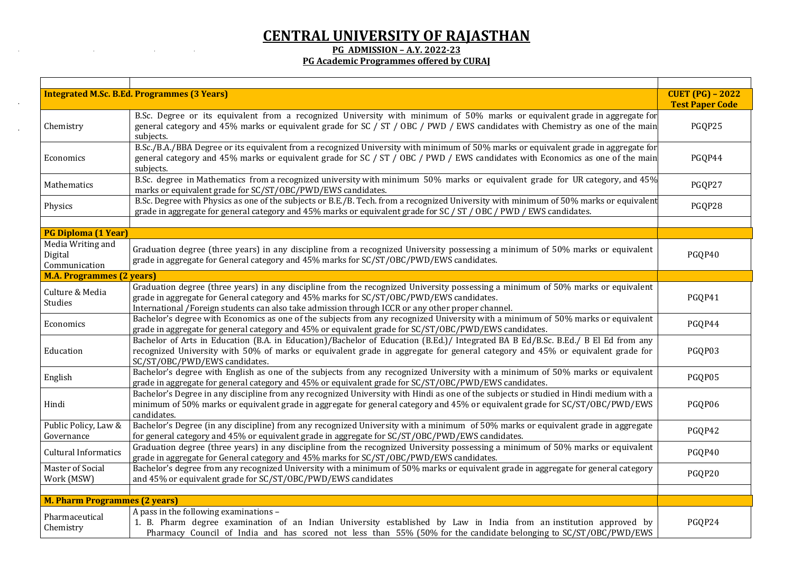## **CENTRAL UNIVERSITY OF RAJASTHAN**

**PG ADMISSION – A.Y. 2022-23**

 $\mathcal{A}^{\text{max}}$ 

 $\ddot{\phantom{a}}$ 

and the state of the state

the control of the control of the

## **PG Academic Programmes offered by CURAJ**

|                                                                             | <b>Integrated M.Sc. B.Ed. Programmes (3 Years)</b>                                                                                                                                                                                                                                                                               | <b>CUET (PG) - 2022</b><br><b>Test Paper Code</b> |
|-----------------------------------------------------------------------------|----------------------------------------------------------------------------------------------------------------------------------------------------------------------------------------------------------------------------------------------------------------------------------------------------------------------------------|---------------------------------------------------|
| Chemistry                                                                   | B.Sc. Degree or its equivalent from a recognized University with minimum of 50% marks or equivalent grade in aggregate for<br>general category and 45% marks or equivalent grade for SC / ST / OBC / PWD / EWS candidates with Chemistry as one of the main<br>subjects.                                                         | PGQP25                                            |
| Economics                                                                   | B.Sc./B.A./BBA Degree or its equivalent from a recognized University with minimum of 50% marks or equivalent grade in aggregate for<br>general category and 45% marks or equivalent grade for SC / ST / OBC / PWD / EWS candidates with Economics as one of the main<br>subjects.                                                | PGQP44                                            |
| Mathematics                                                                 | B.Sc. degree in Mathematics from a recognized university with minimum 50% marks or equivalent grade for UR category, and 45%<br>marks or equivalent grade for SC/ST/OBC/PWD/EWS candidates.                                                                                                                                      | PGQP27                                            |
| Physics                                                                     | B.Sc. Degree with Physics as one of the subjects or B.E./B. Tech. from a recognized University with minimum of 50% marks or equivalent<br>grade in aggregate for general category and 45% marks or equivalent grade for SC / ST / OBC / PWD / EWS candidates.                                                                    | PGQP28                                            |
|                                                                             |                                                                                                                                                                                                                                                                                                                                  |                                                   |
| <b>PG Diploma (1 Year)</b><br>Media Writing and<br>Digital<br>Communication | Graduation degree (three years) in any discipline from a recognized University possessing a minimum of 50% marks or equivalent<br>grade in aggregate for General category and 45% marks for SC/ST/OBC/PWD/EWS candidates.                                                                                                        | PGQP40                                            |
| <b>M.A. Programmes (2 years)</b>                                            |                                                                                                                                                                                                                                                                                                                                  |                                                   |
| Culture & Media<br>Studies                                                  | Graduation degree (three years) in any discipline from the recognized University possessing a minimum of 50% marks or equivalent<br>grade in aggregate for General category and 45% marks for SC/ST/OBC/PWD/EWS candidates.<br>International /Foreign students can also take admission through ICCR or any other proper channel. | PGQP41                                            |
| Economics                                                                   | Bachelor's degree with Economics as one of the subjects from any recognized University with a minimum of 50% marks or equivalent<br>grade in aggregate for general category and 45% or equivalent grade for SC/ST/OBC/PWD/EWS candidates.                                                                                        | PGQP44                                            |
| Education                                                                   | Bachelor of Arts in Education (B.A. in Education)/Bachelor of Education (B.Ed.)/ Integrated BA B Ed/B.Sc. B.Ed./ B El Ed from any<br>recognized University with 50% of marks or equivalent grade in aggregate for general category and 45% or equivalent grade for<br>SC/ST/OBC/PWD/EWS candidates.                              | PGQP03                                            |
| English                                                                     | Bachelor's degree with English as one of the subjects from any recognized University with a minimum of 50% marks or equivalent<br>grade in aggregate for general category and 45% or equivalent grade for SC/ST/OBC/PWD/EWS candidates.                                                                                          | PGQP05                                            |
| Hindi                                                                       | Bachelor's Degree in any discipline from any recognized University with Hindi as one of the subjects or studied in Hindi medium with a<br>minimum of 50% marks or equivalent grade in aggregate for general category and 45% or equivalent grade for SC/ST/OBC/PWD/EWS<br>candidates.                                            | PGQP06                                            |
| Public Policy, Law &<br>Governance                                          | Bachelor's Degree (in any discipline) from any recognized University with a minimum of 50% marks or equivalent grade in aggregate<br>for general category and 45% or equivalent grade in aggregate for SC/ST/OBC/PWD/EWS candidates.                                                                                             | PGQP42                                            |
| <b>Cultural Informatics</b>                                                 | Graduation degree (three years) in any discipline from the recognized University possessing a minimum of 50% marks or equivalent<br>grade in aggregate for General category and 45% marks for SC/ST/OBC/PWD/EWS candidates.                                                                                                      | PGQP40                                            |
| <b>Master of Social</b><br>Work (MSW)                                       | Bachelor's degree from any recognized University with a minimum of 50% marks or equivalent grade in aggregate for general category<br>and 45% or equivalent grade for SC/ST/OBC/PWD/EWS candidates                                                                                                                               | PGQP20                                            |
| <b>M. Pharm Programmes (2 years)</b>                                        |                                                                                                                                                                                                                                                                                                                                  |                                                   |
| Pharmaceutical<br>Chemistry                                                 | A pass in the following examinations -<br>1. B. Pharm degree examination of an Indian University established by Law in India from an institution approved by<br>Pharmacy Council of India and has scored not less than 55% (50% for the candidate belonging to SC/ST/OBC/PWD/EWS                                                 | PGQP24                                            |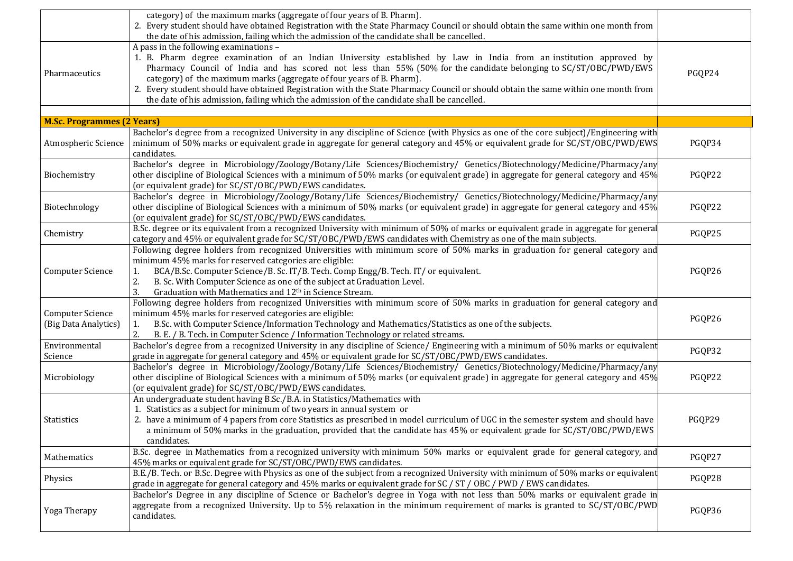|                                                 | category) of the maximum marks (aggregate of four years of B. Pharm).<br>2. Every student should have obtained Registration with the State Pharmacy Council or should obtain the same within one month from<br>the date of his admission, failing which the admission of the candidate shall be cancelled.                                                                                                                                                                                                                                                                                     |        |
|-------------------------------------------------|------------------------------------------------------------------------------------------------------------------------------------------------------------------------------------------------------------------------------------------------------------------------------------------------------------------------------------------------------------------------------------------------------------------------------------------------------------------------------------------------------------------------------------------------------------------------------------------------|--------|
| Pharmaceutics                                   | A pass in the following examinations -<br>1. B. Pharm degree examination of an Indian University established by Law in India from an institution approved by<br>Pharmacy Council of India and has scored not less than 55% (50% for the candidate belonging to SC/ST/OBC/PWD/EWS<br>category) of the maximum marks (aggregate of four years of B. Pharm).<br>2. Every student should have obtained Registration with the State Pharmacy Council or should obtain the same within one month from<br>the date of his admission, failing which the admission of the candidate shall be cancelled. | PGQP24 |
| <b>M.Sc. Programmes (2 Years)</b>               |                                                                                                                                                                                                                                                                                                                                                                                                                                                                                                                                                                                                |        |
| Atmospheric Science                             | Bachelor's degree from a recognized University in any discipline of Science (with Physics as one of the core subject)/Engineering with<br>minimum of 50% marks or equivalent grade in aggregate for general category and 45% or equivalent grade for SC/ST/OBC/PWD/EWS<br>candidates.                                                                                                                                                                                                                                                                                                          | PGQP34 |
| Biochemistry                                    | Bachelor's degree in Microbiology/Zoology/Botany/Life Sciences/Biochemistry/ Genetics/Biotechnology/Medicine/Pharmacy/any<br>other discipline of Biological Sciences with a minimum of 50% marks (or equivalent grade) in aggregate for general category and 45%<br>(or equivalent grade) for SC/ST/OBC/PWD/EWS candidates.                                                                                                                                                                                                                                                                    | PGQP22 |
| Biotechnology                                   | Bachelor's degree in Microbiology/Zoology/Botany/Life Sciences/Biochemistry/ Genetics/Biotechnology/Medicine/Pharmacy/any<br>other discipline of Biological Sciences with a minimum of 50% marks (or equivalent grade) in aggregate for general category and 45%<br>(or equivalent grade) for SC/ST/OBC/PWD/EWS candidates.                                                                                                                                                                                                                                                                    | PGQP22 |
| Chemistry                                       | B.Sc. degree or its equivalent from a recognized University with minimum of 50% of marks or equivalent grade in aggregate for general<br>category and 45% or equivalent grade for SC/ST/OBC/PWD/EWS candidates with Chemistry as one of the main subjects.                                                                                                                                                                                                                                                                                                                                     | PGQP25 |
| <b>Computer Science</b>                         | Following degree holders from recognized Universities with minimum score of 50% marks in graduation for general category and<br>minimum 45% marks for reserved categories are eligible:<br>BCA/B.Sc. Computer Science/B. Sc. IT/B. Tech. Comp Engg/B. Tech. IT/ or equivalent.<br>1.<br>B. Sc. With Computer Science as one of the subject at Graduation Level.<br>2.<br>Graduation with Mathematics and 12 <sup>th</sup> in Science Stream.                                                                                                                                                   | PGQP26 |
| <b>Computer Science</b><br>(Big Data Analytics) | Following degree holders from recognized Universities with minimum score of 50% marks in graduation for general category and<br>minimum 45% marks for reserved categories are eligible:<br>B.Sc. with Computer Science/Information Technology and Mathematics/Statistics as one of the subjects.<br>1.<br>B. E. / B. Tech. in Computer Science / Information Technology or related streams.<br>2.                                                                                                                                                                                              | PGQP26 |
| Environmental<br>Science                        | Bachelor's degree from a recognized University in any discipline of Science/ Engineering with a minimum of 50% marks or equivalent<br>grade in aggregate for general category and 45% or equivalent grade for SC/ST/OBC/PWD/EWS candidates.                                                                                                                                                                                                                                                                                                                                                    | PGQP32 |
| Microbiology                                    | Bachelor's degree in Microbiology/Zoology/Botany/Life Sciences/Biochemistry/ Genetics/Biotechnology/Medicine/Pharmacy/any<br>other discipline of Biological Sciences with a minimum of 50% marks (or equivalent grade) in aggregate for general category and 45%<br>(or equivalent grade) for SC/ST/OBC/PWD/EWS candidates.                                                                                                                                                                                                                                                                    | PGQP22 |
| Statistics                                      | An undergraduate student having B.Sc./B.A. in Statistics/Mathematics with<br>1. Statistics as a subject for minimum of two years in annual system or<br>2. have a minimum of 4 papers from core Statistics as prescribed in model curriculum of UGC in the semester system and should have<br>a minimum of 50% marks in the graduation, provided that the candidate has 45% or equivalent grade for SC/ST/OBC/PWD/EWS<br>candidates.                                                                                                                                                           | PGQP29 |
| Mathematics                                     | B.Sc. degree in Mathematics from a recognized university with minimum 50% marks or equivalent grade for general category, and<br>45% marks or equivalent grade for SC/ST/OBC/PWD/EWS candidates.                                                                                                                                                                                                                                                                                                                                                                                               | PGQP27 |
| Physics                                         | B.E./B. Tech. or B.Sc. Degree with Physics as one of the subject from a recognized University with minimum of 50% marks or equivalent<br>grade in aggregate for general category and 45% marks or equivalent grade for SC / ST / OBC / PWD / EWS candidates.                                                                                                                                                                                                                                                                                                                                   | PGQP28 |
| Yoga Therapy                                    | Bachelor's Degree in any discipline of Science or Bachelor's degree in Yoga with not less than 50% marks or equivalent grade in<br>aggregate from a recognized University. Up to 5% relaxation in the minimum requirement of marks is granted to SC/ST/OBC/PWD<br>candidates.                                                                                                                                                                                                                                                                                                                  | PGQP36 |